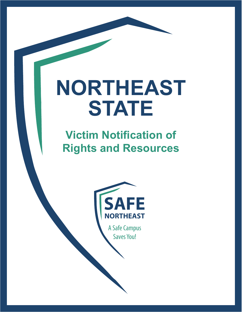# **NORTHEAST STATE**

# **Victim Notification of Rights and Resources**



A Safe Campus Saves You!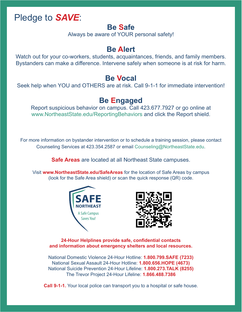# Pledge to *SAVE*:

### **Be Safe**

Always be aware of YOUR personal safety!

# **Be Alert**

Watch out for your co-workers, students, acquaintances, friends, and family members. Bystanders can make a difference. Intervene safely when someone is at risk for harm.

## **Be Vocal**

Seek help when YOU and OTHERS are at risk. Call 9-1-1 for immediate intervention!

## **Be Engaged**

Report suspicious behavior on campus. Call 423.677.7927 or go online at www.NortheastState.edu/ReportingBehaviors and click the Report shield.

For more information on bystander intervention or to schedule a training session, please contact Counseling Services at 423.354.2587 or email Counseling@NortheastState.edu.

**Safe Areas** are located at all Northeast State campuses.

Visit **www.NortheastState.edu/SafeAreas** for the location of Safe Areas by campus (look for the Safe Area shield) or scan the quick response (QR) code.





**24-Hour Helplines provide safe, confidential contacts and information about emergency shelters and local resources.** 

National Domestic Violence 24-Hour Hotline: **1.800.799.SAFE (7233)** National Sexual Assault 24-Hour Hotline: **1.800.656.HOPE (4673)** National Suicide Prevention 24-Hour Lifeline: **1.800.273.TALK (8255)** The Trevor Project 24-Hour Lifeline: **1.866.488.7386**

**Call 9-1-1.** Your local police can transport you to a hospital or safe house.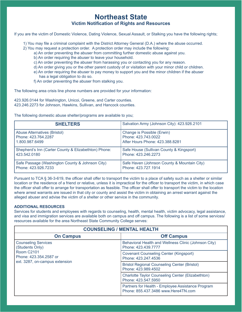#### **Northeast State Victim Notification of Rights and Resources**

If you are the victim of Domestic Violence, Dating Violence, Sexual Assault, or Stalking you have the following rights;

- 1) You may file a criminal complaint with the District Attorney General (D.A.) where the abuse occurred.
- 2) You may request a protection order. A protection order may include the following:
	- a) An order preventing the abuser from committing further domestic abuse against you.
	- b) An order requiring the abuser to leave your household.
	- c) An order preventing the abuser from harassing you or contacting you for any reason.
	- d) An order giving you or the other parent custody of or visitation with your minor child or children.
	- e) An order requiring the abuser to pay money to support you and the minor children if the abuser has a legal obligation to do so.
	- f) An order preventing the abuser from stalking you.

The following area crisis line phone numbers are provided for your information:

423.926.0144 for Washington, Unicoi, Greene, and Carter counties. 423.246.2273 for Johnson, Hawkins, Sullivan, and Hancock counties.

The following domestic abuse shelter/programs are available to you;

| <b>SHELTERS</b>                                      | Salvation Army (Johnson City): 423.926.2101 |  |
|------------------------------------------------------|---------------------------------------------|--|
| <b>Abuse Alternatives (Bristol)</b>                  | Change is Possible (Erwin)                  |  |
| Phone: 423.764.2287                                  | Phone: 423.743.0022                         |  |
| 1.800.987.6499                                       | After Hours Phone: 423.388.8281             |  |
| Shepherd's Inn (Carter County & Elizabethton) Phone: | Safe House (Sullivan County & Kingsport)    |  |
| 423.542.0180                                         | Phone: 423.246.2273                         |  |
| Safe Passage (Washington County & Johnson City)      | Safe Haven (Johnson County & Mountain City) |  |
| Phone: 423.926.7233                                  | Phone: 423.727.1914                         |  |

Pursuant to TCA § 36-3-619, the officer shall offer to transport the victim to a place of safety such as a shelter or similar location or the residence of a friend or relative, unless it is impractical for the officer to transport the victim, in which case the officer shall offer to arrange for transportation as feasible. The officer shall offer to transport the victim to the location where arrest warrants are issued in that city or county and assist the victim in obtaining an arrest warrant against the alleged abuser and advise the victim of a shelter or other service in the community.

#### **ADDITIONAL RESOURCES**

Services for students and employees with regards to counseling, health, mental health, victim advocacy, legal assistance, and visa and immigration services are available both on campus and off campus. The following is a list of some services/ resources available for the area Northeast State Community College serves:

| <b>COUNSELING / MENTAL HEALTH</b>                                                                                              |                                                                                          |  |
|--------------------------------------------------------------------------------------------------------------------------------|------------------------------------------------------------------------------------------|--|
| <b>On Campus</b>                                                                                                               | <b>Off Campus</b>                                                                        |  |
| <b>Counseling Services</b><br>(Students Only)<br><b>Room C2101</b><br>Phone: 423.354.2587 or<br>ext. 3287, on-campus extension | Behavioral Health and Wellness Clinic (Johnson City)<br>Phone: 423.439.7777              |  |
|                                                                                                                                | <b>Covenant Counseling Center (Kingsport)</b><br>Phone: 423.247.4536                     |  |
|                                                                                                                                | <b>Bristol Regional Counseling Center (Bristol)</b><br>Phone: 423.989.4502               |  |
|                                                                                                                                | Charlotte Taylor Counseling Center (Elizabethton)<br>Phone: 423.547.5950                 |  |
|                                                                                                                                | Partners for Health - Employee Assistance Program<br>Phone: 855.437.3486 www.Here4TN.com |  |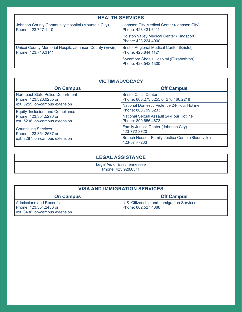| <b>HEALTH SERVICES</b>                                                        |                                                                         |  |
|-------------------------------------------------------------------------------|-------------------------------------------------------------------------|--|
| Johnson County Community Hospital (Mountain City)<br>Phone: 423.727.1110      | Johnson City Medical Center (Johnson City)<br>Phone: 423.431.6111       |  |
|                                                                               | Holston Valley Medical Center (Kingsport)<br>Phone: 423.224.4000        |  |
| Unicoi County Memorial Hospital/Johnson County (Erwin)<br>Phone: 423.743.3141 | <b>Bristol Regional Medical Center (Bristol)</b><br>Phone: 423.844.1121 |  |
|                                                                               | Sycamore Shoals Hospital (Elizabethton)<br>Phone: 423.542.1300          |  |

| <b>VICTIM ADVOCACY</b>                                                                                                                                                                         |                                                                     |  |
|------------------------------------------------------------------------------------------------------------------------------------------------------------------------------------------------|---------------------------------------------------------------------|--|
| <b>On Campus</b>                                                                                                                                                                               | <b>Off Campus</b>                                                   |  |
| Northeast State Police Department<br>Phone: 423.323.0255 or<br>ext. 3255, on-campus extension<br>Equity, Inclusion, and Compliance<br>Phone: 423.354.5296 or<br>ext. 5296, on-campus extension | <b>Bristol Crisis Center</b><br>Phone: 800.273.8255 or 276.466.2218 |  |
|                                                                                                                                                                                                | National Domestic Violence 24-Hour Hotline<br>Phone: 800.799.8233   |  |
|                                                                                                                                                                                                | National Sexual Assault 24-Hour Hotline<br>Phone: 800.656.4673      |  |
| <b>Counseling Services</b><br>Phone: 423.354.2587 or<br>ext. 3287, on-campus extension                                                                                                         | Family Justice Center (Johnson City)<br>423-772-3720                |  |
|                                                                                                                                                                                                | Branch House - Family Justice Center (Blountville)<br>423-574-7233  |  |

#### **LEGAL ASSISTANCE**

Legal Aid of East Tennessee Phone: 423.928.8311

| <b>VISA AND IMMIGRATION SERVICES</b>                                                      |                                                                  |  |
|-------------------------------------------------------------------------------------------|------------------------------------------------------------------|--|
| <b>On Campus</b>                                                                          | <b>Off Campus</b>                                                |  |
| <b>Admissions and Records</b><br>Phone: 423.354.2436 or<br>ext. 3436, on-campus extension | U.S. Citizenship and Immigration Services<br>Phone: 802.527.4888 |  |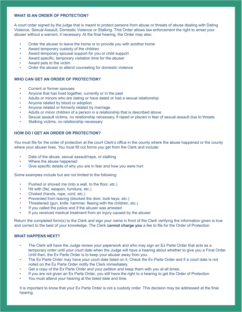#### **WHAT IS AN ORDER OF PROTECTION?**

A court order signed by the judge that is meant to protect persons from abuse or threats of abuse dealing with Dating Violence, Sexual Assault, Domestic Violence or Stalking. This Order allows law enforcement the right to arrest your abuser without a warrant, if necessary. At the final hearing, the Order may also:

- Order the abuser to leave the home or to provide you with another home
- Award temporary custody of the children
- Award temporary spousal support for you or child support
- Award specific, temporary visitation time for the abuser
- Award pets to the victim
- Order the abuser to attend counseling for domestic violence

#### **WHO CAN GET AN ORDER OF PROTECTION?**

- Current or former spouses
- Anyone that has lived together, currently or in the past
- Adults or minors who are dating or have dated or had a sexual relationship
- Anyone related by blood or adoption
- Anyone related or formerly related by marriage
- Adults or minor children of a person in a relationship that is described above
- Sexual assault victims, no relationship necessary, if raped or placed in fear of sexual assault due to threats
- Stalking victims, no relationship necessary

#### **HOW DO I GET AN ORDER OR PROTECTION?**

You must file for the order of protection at the court Clerk's office in the county where the abuse happened or the county where your abuser lives. You must fill out forms you get from the Clerk and include:

- Date of the abuse, sexual assault/rape, or stalking
- Where the abuse happened
- Give specific details of why you are in fear and how you were hurt

Some examples include but are not limited to the following:

- Pushed or shoved me (into a wall, to the floor, etc.)
- Hit with (fist, weapon, furniture, etc.)
- Choked (hands, rope, cord, etc.)
- Prevented from leaving (blocked the door, took keys, etc.)
- Threatened (gun, knife, hammer, fleeing with the children, etc.)
- If you called the police and if the abuser was arrested
- If you received medical treatment from an injury caused by the abuser

Return the completed form(s) to the Clerk and sign your name in front of the Clerk verifying the information given is true and correct to the best of your knowledge. The Clerk **cannot charge you** a fee to file for the Order of Protection.

#### **WHAT HAPPENS NEXT?**

- The Clerk will have the Judge review your paperwork and who may sign an Ex Parte Order that acts as a temporary order until your court date when the Judge will have a hearing about whether to give you a Final Order. Until then, the Ex Parte Order is to keep your abuser away from you.
- The Ex Parte Order may have your court date listed on it. Check the Ex Parte Order and if a court date is not noted on the Ex Parte Order notify the Clerk immediately.
- Get a copy of the Ex Parte Order and your petition and keep them with you at all times.
- If you are not given an Ex Parte Order, you still have the right to a hearing to get the Order of Protection.
- You must attend your hearing at the listed date and time.

It is important to know that your Ex Parte Order is not a custody order. This decision may be addressed at the final hearing.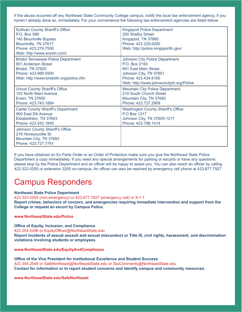If the abuse occurred off any Northeast State Community College campus, notify the local law enforcement agency, if you haven't already done so, immediately. For your convenience the following law enforcement agencies are listed below.

| <b>Sullivan County Sheriff's Office</b><br>P.O. Box 589<br>140 Blountville Bypass<br>Blountville, TN 37617<br>Phone: 423,279,7500<br>Web: http://www.scsotn.com/ | <b>Kingsport Police Department</b><br>200 Shelby Street<br>Kingsport, TN 37660<br>Phone: 423.229.9300<br>Web: http://police.kingsporttn.gov/                                |  |
|------------------------------------------------------------------------------------------------------------------------------------------------------------------|-----------------------------------------------------------------------------------------------------------------------------------------------------------------------------|--|
| <b>Bristol Tennessee Police Department</b><br>801 Anderson Street<br>Bristol, TN 37620<br>Phone: 423.989.5500<br>Web: http://www.bristoltn.org/police.cfm        | <b>Johnson City Police Department</b><br>P.O. Box 2150<br>601 East Main Street<br>Johnson City, TN 37601<br>Phone: 423,434,6160<br>Web: http://www.johnsoncitytn.org/Police |  |
| <b>Unicoi County Sheriff's Office</b><br>102 North Main Avenue<br>Erwin, TN 37650<br>Phone: 423.743.1864                                                         | <b>Mountain City Police Department</b><br>210 South Church Street<br>Mountain City, TN 37683<br>Phone: 423.727.2909                                                         |  |
| <b>Carter County Sheriff's Department</b><br>900 East Elk Avenue<br>Elizabethton, TN 37643<br>Phone: 423.542.1845                                                | <b>Washington County Sheriff's Office</b><br><b>P.O Box 1217</b><br>Johnson City, TN 37605-1217<br>Phone: 423.788.1414                                                      |  |
| Johnson County Sheriff's Office<br>216 Honeysuckle St.<br>Mountain City, TN 37683<br>Phone: 423,727,7761                                                         |                                                                                                                                                                             |  |

If you have obtained an Ex Parte Order or an Order of Protection make sure you give the Northeast State Police Department a copy immediately. If you need any special arrangements for parking or escorts or have any questions please stop by the Police Department and an officer will be happy to assist you. You can also reach an officer by calling 423.323.0255 or extension 3255 on-campus. An officer can also be reached by emergency cell phone at 423.677.7927.

# Campus Responders

#### **Northeast State Police Department**

423.323.0255 (non-emergency) or 423.677.7927 (emergency cell) or 9-1-1

**Report crimes, behaviors of concern, and emergencies requiring immediate intervention and support from the College or request an escort by Campus Police.** 

#### **www.NortheastState.edu/Police**

**Office of Equity, Inclusion, and Compliance**

423.354.5296 or EquityOfficer@NortheastState.edu

**Report incidents of sexual assault and sexual misconduct or Title IX, civil rights, harassment, and discrimination violations involving students or employees.** 

**www.NortheastState.edu/EquityAndCompliance**

**Office of the Vice President for Institutional Excellence and Student Success** 423.354.2549 or SafeNortheast@NortheastState.edu or StuComments@NortheastState.edu **Contact for information or to report student concerns and identify campus and community resources.**

**www.NortheastState.edu/SafeNortheast**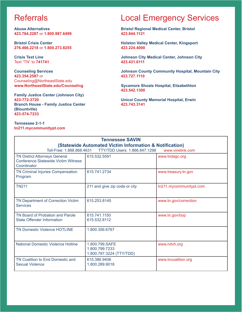# **Referrals**

**Abuse Alternatives 423.764.2287** or **1.800.987.6499**

**Bristol Crisis Center 276.466.2218** or **1.800.273.8255**

**Crisis Text Line** Text "TN" to **741741**

**Counseling Services 423.354.2587** or Counseling@NortheastState.edu **www.NortheastState.edu/Counseling**

**Family Justice Center (Johnson City) 423-772-3720 Branch House - Family Justice Center (Blountville) 423-574-7233**

**Tennessee 2-1-1 tn211.mycommunitypt.com**

# Local Emergency Services

**Bristol Regional Medical Center, Bristol 423.844.1121**

**Holston Valley Medical Center, Kingsport 423.224.4000**

**Johnson City Medical Center, Johnson City 423.431.6111**

**Johnson County Community Hospital, Mountain City 423.727.1110**

**Sycamore Shoals Hospital, Elizabethton 423.542.1300**

**Unicoi County Memorial Hospital, Erwin 423.743.3141**

| <b>Tennessee SAVIN</b>                                                                                                                                      |                                                              |                         |  |  |
|-------------------------------------------------------------------------------------------------------------------------------------------------------------|--------------------------------------------------------------|-------------------------|--|--|
| <b>(Statewide Automated Victim Information &amp; Notification)</b><br>Toll-Free: 1.888.868.4631<br><b>TTY/TDD Users: 1.866.847.1298</b><br>www.vinelink.com |                                                              |                         |  |  |
| <b>TN District Attorneys General</b>                                                                                                                        | 615.532.5591                                                 | www.tndagc.org          |  |  |
| <b>Conference Statewide Victim Witness</b><br>Coordinator                                                                                                   |                                                              |                         |  |  |
| <b>TN Criminal Injuries Compensation</b><br>Program                                                                                                         | 615.741.2734                                                 | www.treasury.tn.gov     |  |  |
| <b>TN211</b>                                                                                                                                                | 211 and give zip code or city                                | tn211.mycommunitypt.com |  |  |
| TN Department of Correction Victim<br><b>Services</b>                                                                                                       | 615.253.8145                                                 | www.tn.gov/correction   |  |  |
| <b>TN Board of Probation and Parole</b><br><b>State Offender Information</b>                                                                                | 615.741.1150<br>615.532.8112                                 | www.tn.gov/bop          |  |  |
| <b>TN Domestic Violence HOTLINE</b>                                                                                                                         | 1.800.356.6767                                               |                         |  |  |
| <b>National Domestic Violence Hotline</b>                                                                                                                   | 1.800.799.SAFE<br>1.800.799.7233<br>1.800.787.3224 (TTY/TDD) | www.ndvh.org            |  |  |
| TN Coalition to End Domestic and<br><b>Sexual Violence</b>                                                                                                  | 615.386.9406<br>1.800.289.9018                               | www.tncoalition.org     |  |  |